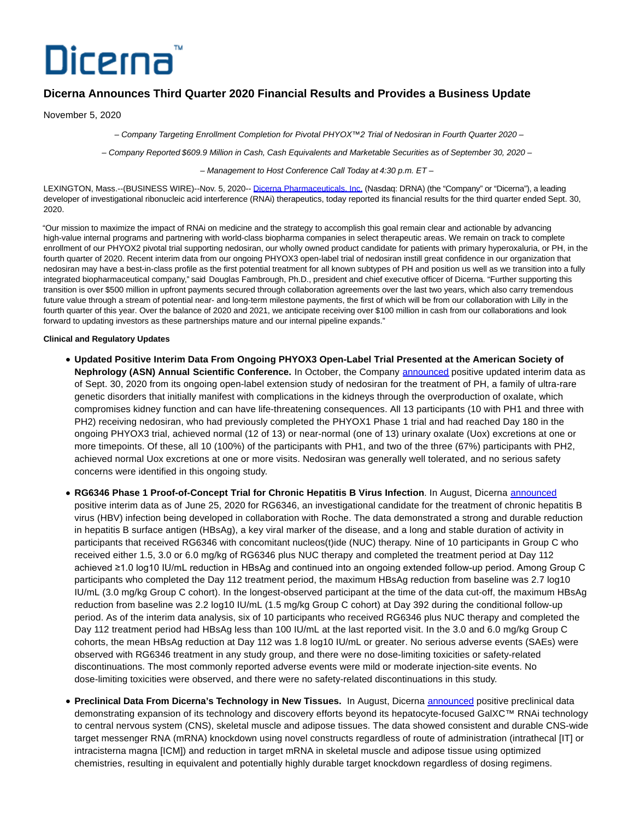# Dicerna

# **Dicerna Announces Third Quarter 2020 Financial Results and Provides a Business Update**

November 5, 2020

– Company Targeting Enrollment Completion for Pivotal PHYOX™2 Trial of Nedosiran in Fourth Quarter 2020 –

– Company Reported \$609.9 Million in Cash, Cash Equivalents and Marketable Securities as of September 30, 2020 –

– Management to Host Conference Call Today at 4:30 p.m. ET –

LEXINGTON, Mass.--(BUSINESS WIRE)--Nov. 5, 2020-- [Dicerna Pharmaceuticals, Inc. \(](https://cts.businesswire.com/ct/CT?id=smartlink&url=http%3A%2F%2Fwww.dicerna.com&esheet=52321121&newsitemid=20201105006144&lan=en-US&anchor=Dicerna+Pharmaceuticals%2C+Inc.&index=1&md5=d70681972963ccb33f55e38d7e4cf523)Nasdaq: DRNA) (the "Company" or "Dicerna"), a leading developer of investigational ribonucleic acid interference (RNAi) therapeutics, today reported its financial results for the third quarter ended Sept. 30, 2020.

"Our mission to maximize the impact of RNAi on medicine and the strategy to accomplish this goal remain clear and actionable by advancing high-value internal programs and partnering with world-class biopharma companies in select therapeutic areas. We remain on track to complete enrollment of our PHYOX2 pivotal trial supporting nedosiran, our wholly owned product candidate for patients with primary hyperoxaluria, or PH, in the fourth quarter of 2020. Recent interim data from our ongoing PHYOX3 open-label trial of nedosiran instill great confidence in our organization that nedosiran may have a best-in-class profile as the first potential treatment for all known subtypes of PH and position us well as we transition into a fully integrated biopharmaceutical company," said Douglas Fambrough, Ph.D., president and chief executive officer of Dicerna. "Further supporting this transition is over \$500 million in upfront payments secured through collaboration agreements over the last two years, which also carry tremendous future value through a stream of potential near- and long-term milestone payments, the first of which will be from our collaboration with Lilly in the fourth quarter of this year. Over the balance of 2020 and 2021, we anticipate receiving over \$100 million in cash from our collaborations and look forward to updating investors as these partnerships mature and our internal pipeline expands."

# **Clinical and Regulatory Updates**

- **Updated Positive Interim Data From Ongoing PHYOX3 Open-Label Trial Presented at the American Society of Nephrology (ASN) Annual Scientific Conference.** In October, the Company [announced](https://cts.businesswire.com/ct/CT?id=smartlink&url=https%3A%2F%2Finvestors.dicerna.com%2Fnews-releases%2Fnews-release-details%2Fdicerna-presents-positive-new-interim-data-phyoxtm3-long-term&esheet=52321121&newsitemid=20201105006144&lan=en-US&anchor=announced&index=2&md5=5f2c52dce8c71a08497405ee053cffd4) positive updated interim data as of Sept. 30, 2020 from its ongoing open-label extension study of nedosiran for the treatment of PH, a family of ultra-rare genetic disorders that initially manifest with complications in the kidneys through the overproduction of oxalate, which compromises kidney function and can have life-threatening consequences. All 13 participants (10 with PH1 and three with PH2) receiving nedosiran, who had previously completed the PHYOX1 Phase 1 trial and had reached Day 180 in the ongoing PHYOX3 trial, achieved normal (12 of 13) or near-normal (one of 13) urinary oxalate (Uox) excretions at one or more timepoints. Of these, all 10 (100%) of the participants with PH1, and two of the three (67%) participants with PH2, achieved normal Uox excretions at one or more visits. Nedosiran was generally well tolerated, and no serious safety concerns were identified in this ongoing study.
- **RG6346 Phase 1 Proof-of-Concept Trial for Chronic Hepatitis B Virus Infection**. In August, Dicerna [announced](https://cts.businesswire.com/ct/CT?id=smartlink&url=https%3A%2F%2Finvestors.dicerna.com%2Fnews-releases%2Fnews-release-details%2Fdicerna-announces-positive-clinical-data-investigational&esheet=52321121&newsitemid=20201105006144&lan=en-US&anchor=announced&index=3&md5=756d44db46fbd34f30aec36240df67df) positive interim data as of June 25, 2020 for RG6346, an investigational candidate for the treatment of chronic hepatitis B virus (HBV) infection being developed in collaboration with Roche. The data demonstrated a strong and durable reduction in hepatitis B surface antigen (HBsAg), a key viral marker of the disease, and a long and stable duration of activity in participants that received RG6346 with concomitant nucleos(t)ide (NUC) therapy. Nine of 10 participants in Group C who received either 1.5, 3.0 or 6.0 mg/kg of RG6346 plus NUC therapy and completed the treatment period at Day 112 achieved ≥1.0 log10 IU/mL reduction in HBsAg and continued into an ongoing extended follow-up period. Among Group C participants who completed the Day 112 treatment period, the maximum HBsAg reduction from baseline was 2.7 log10 IU/mL (3.0 mg/kg Group C cohort). In the longest-observed participant at the time of the data cut-off, the maximum HBsAg reduction from baseline was 2.2 log10 IU/mL (1.5 mg/kg Group C cohort) at Day 392 during the conditional follow-up period. As of the interim data analysis, six of 10 participants who received RG6346 plus NUC therapy and completed the Day 112 treatment period had HBsAg less than 100 IU/mL at the last reported visit. In the 3.0 and 6.0 mg/kg Group C cohorts, the mean HBsAg reduction at Day 112 was 1.8 log10 IU/mL or greater. No serious adverse events (SAEs) were observed with RG6346 treatment in any study group, and there were no dose-limiting toxicities or safety-related discontinuations. The most commonly reported adverse events were mild or moderate injection-site events. No dose-limiting toxicities were observed, and there were no safety-related discontinuations in this study.
- **Preclinical Data From Dicerna's Technology in New Tissues.** In August, Dicerna [announced p](https://cts.businesswire.com/ct/CT?id=smartlink&url=https%3A%2F%2Finvestors.dicerna.com%2Fnews-releases%2Fnews-release-details%2Fdicerna-announces-positive-clinical-data-investigational&esheet=52321121&newsitemid=20201105006144&lan=en-US&anchor=announced&index=4&md5=fc62d9db3e5f23ee0a010b4d271f2963)ositive preclinical data demonstrating expansion of its technology and discovery efforts beyond its hepatocyte-focused GalXC™ RNAi technology to central nervous system (CNS), skeletal muscle and adipose tissues. The data showed consistent and durable CNS-wide target messenger RNA (mRNA) knockdown using novel constructs regardless of route of administration (intrathecal [IT] or intracisterna magna [ICM]) and reduction in target mRNA in skeletal muscle and adipose tissue using optimized chemistries, resulting in equivalent and potentially highly durable target knockdown regardless of dosing regimens.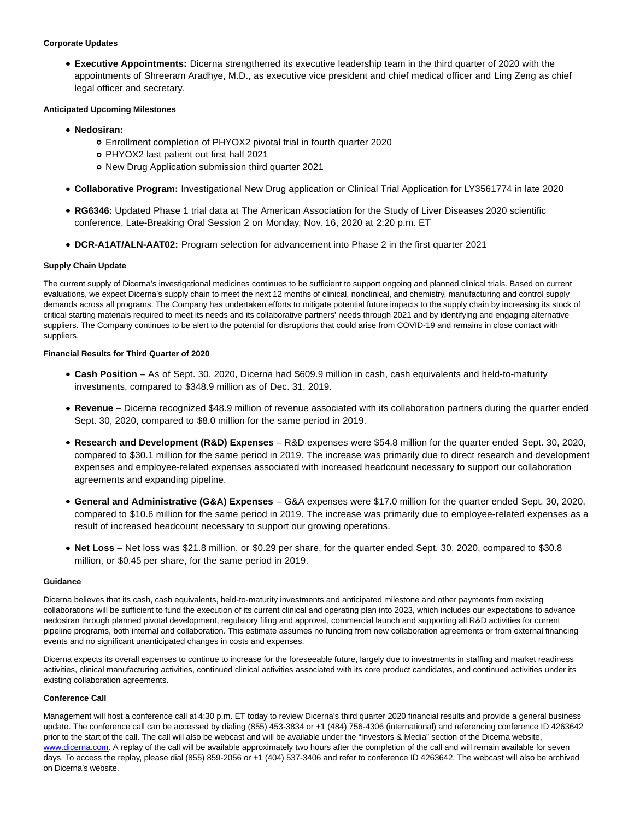### **Corporate Updates**

**Executive Appointments:** Dicerna strengthened its executive leadership team in the third quarter of 2020 with the appointments of Shreeram Aradhye, M.D., as executive vice president and chief medical officer and Ling Zeng as chief legal officer and secretary.

# **Anticipated Upcoming Milestones**

- **Nedosiran:**
	- Enrollment completion of PHYOX2 pivotal trial in fourth quarter 2020
	- PHYOX2 last patient out first half 2021
	- New Drug Application submission third quarter 2021
- **Collaborative Program:** Investigational New Drug application or Clinical Trial Application for LY3561774 in late 2020
- **RG6346:** Updated Phase 1 trial data at The American Association for the Study of Liver Diseases 2020 scientific conference, Late-Breaking Oral Session 2 on Monday, Nov. 16, 2020 at 2:20 p.m. ET
- **DCR-A1AT/ALN-AAT02:** Program selection for advancement into Phase 2 in the first quarter 2021

# **Supply Chain Update**

The current supply of Dicerna's investigational medicines continues to be sufficient to support ongoing and planned clinical trials. Based on current evaluations, we expect Dicerna's supply chain to meet the next 12 months of clinical, nonclinical, and chemistry, manufacturing and control supply demands across all programs. The Company has undertaken efforts to mitigate potential future impacts to the supply chain by increasing its stock of critical starting materials required to meet its needs and its collaborative partners' needs through 2021 and by identifying and engaging alternative suppliers. The Company continues to be alert to the potential for disruptions that could arise from COVID-19 and remains in close contact with suppliers.

# **Financial Results for Third Quarter of 2020**

- **Cash Position** As of Sept. 30, 2020, Dicerna had \$609.9 million in cash, cash equivalents and held-to-maturity investments, compared to \$348.9 million as of Dec. 31, 2019.
- **Revenue** Dicerna recognized \$48.9 million of revenue associated with its collaboration partners during the quarter ended Sept. 30, 2020, compared to \$8.0 million for the same period in 2019.
- **Research and Development (R&D) Expenses** R&D expenses were \$54.8 million for the quarter ended Sept. 30, 2020, compared to \$30.1 million for the same period in 2019. The increase was primarily due to direct research and development expenses and employee-related expenses associated with increased headcount necessary to support our collaboration agreements and expanding pipeline.
- **General and Administrative (G&A) Expenses**  G&A expenses were \$17.0 million for the quarter ended Sept. 30, 2020, compared to \$10.6 million for the same period in 2019. The increase was primarily due to employee-related expenses as a result of increased headcount necessary to support our growing operations.
- **Net Loss** Net loss was \$21.8 million, or \$0.29 per share, for the quarter ended Sept. 30, 2020, compared to \$30.8 million, or \$0.45 per share, for the same period in 2019.

#### **Guidance**

Dicerna believes that its cash, cash equivalents, held-to-maturity investments and anticipated milestone and other payments from existing collaborations will be sufficient to fund the execution of its current clinical and operating plan into 2023, which includes our expectations to advance nedosiran through planned pivotal development, regulatory filing and approval, commercial launch and supporting all R&D activities for current pipeline programs, both internal and collaboration. This estimate assumes no funding from new collaboration agreements or from external financing events and no significant unanticipated changes in costs and expenses.

Dicerna expects its overall expenses to continue to increase for the foreseeable future, largely due to investments in staffing and market readiness activities, clinical manufacturing activities, continued clinical activities associated with its core product candidates, and continued activities under its existing collaboration agreements.

#### **Conference Call**

Management will host a conference call at 4:30 p.m. ET today to review Dicerna's third quarter 2020 financial results and provide a general business update. The conference call can be accessed by dialing (855) 453-3834 or +1 (484) 756-4306 (international) and referencing conference ID 4263642 prior to the start of the call. The call will also be webcast and will be available under the "Investors & Media" section of the Dicerna website, [www.dicerna.com.](https://cts.businesswire.com/ct/CT?id=smartlink&url=http%3A%2F%2Fwww.dicerna.com&esheet=52321121&newsitemid=20201105006144&lan=en-US&anchor=www.dicerna.com&index=5&md5=4926bc336246182e6b23f2d855722d50) A replay of the call will be available approximately two hours after the completion of the call and will remain available for seven days. To access the replay, please dial (855) 859-2056 or +1 (404) 537-3406 and refer to conference ID 4263642. The webcast will also be archived on Dicerna's website.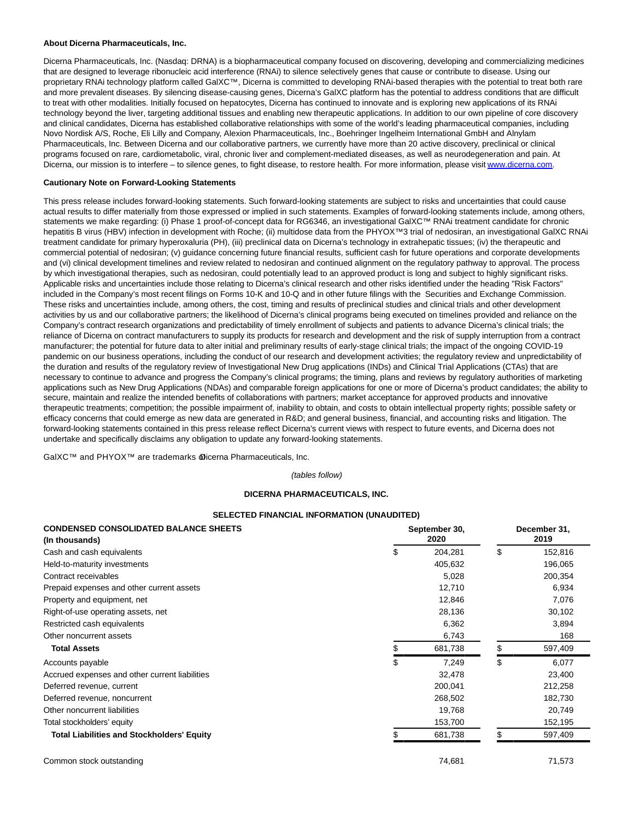#### **About Dicerna Pharmaceuticals, Inc.**

Dicerna Pharmaceuticals, Inc. (Nasdaq: DRNA) is a biopharmaceutical company focused on discovering, developing and commercializing medicines that are designed to leverage ribonucleic acid interference (RNAi) to silence selectively genes that cause or contribute to disease. Using our proprietary RNAi technology platform called GalXC™, Dicerna is committed to developing RNAi-based therapies with the potential to treat both rare and more prevalent diseases. By silencing disease-causing genes, Dicerna's GalXC platform has the potential to address conditions that are difficult to treat with other modalities. Initially focused on hepatocytes, Dicerna has continued to innovate and is exploring new applications of its RNAi technology beyond the liver, targeting additional tissues and enabling new therapeutic applications. In addition to our own pipeline of core discovery and clinical candidates, Dicerna has established collaborative relationships with some of the world's leading pharmaceutical companies, including Novo Nordisk A/S, Roche, Eli Lilly and Company, Alexion Pharmaceuticals, Inc., Boehringer Ingelheim International GmbH and Alnylam Pharmaceuticals, Inc. Between Dicerna and our collaborative partners, we currently have more than 20 active discovery, preclinical or clinical programs focused on rare, cardiometabolic, viral, chronic liver and complement-mediated diseases, as well as neurodegeneration and pain. At Dicerna, our mission is to interfere – to silence genes, to fight disease, to restore health. For more information, please visi[t www.dicerna.com.](https://cts.businesswire.com/ct/CT?id=smartlink&url=http%3A%2F%2Fwww.dicerna.com&esheet=52321121&newsitemid=20201105006144&lan=en-US&anchor=www.dicerna.com&index=6&md5=79046b34453a163520532e187c68f3b6)

#### **Cautionary Note on Forward-Looking Statements**

This press release includes forward-looking statements. Such forward-looking statements are subject to risks and uncertainties that could cause actual results to differ materially from those expressed or implied in such statements. Examples of forward-looking statements include, among others, statements we make regarding: (i) Phase 1 proof-of-concept data for RG6346, an investigational GalXC™ RNAi treatment candidate for chronic hepatitis B virus (HBV) infection in development with Roche; (ii) multidose data from the PHYOX™3 trial of nedosiran, an investigational GalXC RNAi treatment candidate for primary hyperoxaluria (PH), (iii) preclinical data on Dicerna's technology in extrahepatic tissues; (iv) the therapeutic and commercial potential of nedosiran; (v) guidance concerning future financial results, sufficient cash for future operations and corporate developments and (vi) clinical development timelines and review related to nedosiran and continued alignment on the regulatory pathway to approval. The process by which investigational therapies, such as nedosiran, could potentially lead to an approved product is long and subject to highly significant risks. Applicable risks and uncertainties include those relating to Dicerna's clinical research and other risks identified under the heading "Risk Factors" included in the Company's most recent filings on Forms 10-K and 10-Q and in other future filings with the Securities and Exchange Commission. These risks and uncertainties include, among others, the cost, timing and results of preclinical studies and clinical trials and other development activities by us and our collaborative partners; the likelihood of Dicerna's clinical programs being executed on timelines provided and reliance on the Company's contract research organizations and predictability of timely enrollment of subjects and patients to advance Dicerna's clinical trials; the reliance of Dicerna on contract manufacturers to supply its products for research and development and the risk of supply interruption from a contract manufacturer; the potential for future data to alter initial and preliminary results of early-stage clinical trials; the impact of the ongoing COVID-19 pandemic on our business operations, including the conduct of our research and development activities; the regulatory review and unpredictability of the duration and results of the regulatory review of Investigational New Drug applications (INDs) and Clinical Trial Applications (CTAs) that are necessary to continue to advance and progress the Company's clinical programs; the timing, plans and reviews by regulatory authorities of marketing applications such as New Drug Applications (NDAs) and comparable foreign applications for one or more of Dicerna's product candidates; the ability to secure, maintain and realize the intended benefits of collaborations with partners; market acceptance for approved products and innovative therapeutic treatments; competition; the possible impairment of, inability to obtain, and costs to obtain intellectual property rights; possible safety or efficacy concerns that could emerge as new data are generated in R&D; and general business, financial, and accounting risks and litigation. The forward-looking statements contained in this press release reflect Dicerna's current views with respect to future events, and Dicerna does not undertake and specifically disclaims any obligation to update any forward-looking statements.

GalXC™ and PHYOX™ are trademarks @icerna Pharmaceuticals, Inc.

(tables follow)

# **DICERNA PHARMACEUTICALS, INC.**

#### **SELECTED FINANCIAL INFORMATION (UNAUDITED)**

| <b>CONDENSED CONSOLIDATED BALANCE SHEETS</b>      |      | September 30, |      |         |  |
|---------------------------------------------------|------|---------------|------|---------|--|
| (In thousands)                                    | 2020 |               | 2019 |         |  |
| Cash and cash equivalents                         | \$   | 204,281       | \$   | 152,816 |  |
| Held-to-maturity investments                      |      | 405,632       |      | 196,065 |  |
| Contract receivables                              |      | 5,028         |      | 200,354 |  |
| Prepaid expenses and other current assets         |      | 12,710        |      | 6,934   |  |
| Property and equipment, net                       |      | 12,846        |      | 7,076   |  |
| Right-of-use operating assets, net                |      | 28,136        |      | 30,102  |  |
| Restricted cash equivalents                       |      | 6,362         |      | 3,894   |  |
| Other noncurrent assets                           |      | 6,743         |      | 168     |  |
| <b>Total Assets</b>                               | \$   | 681,738       | \$   | 597,409 |  |
| Accounts payable                                  | \$   | 7.249         | \$   | 6,077   |  |
| Accrued expenses and other current liabilities    |      | 32,478        |      | 23,400  |  |
| Deferred revenue, current                         |      | 200,041       |      | 212,258 |  |
| Deferred revenue, noncurrent                      |      | 268,502       |      | 182,730 |  |
| Other noncurrent liabilities                      |      | 19,768        |      | 20,749  |  |
| Total stockholders' equity                        |      | 153,700       |      | 152,195 |  |
| <b>Total Liabilities and Stockholders' Equity</b> |      | 681,738       |      | 597,409 |  |
| Common stock outstanding                          |      | 74,681        |      | 71,573  |  |